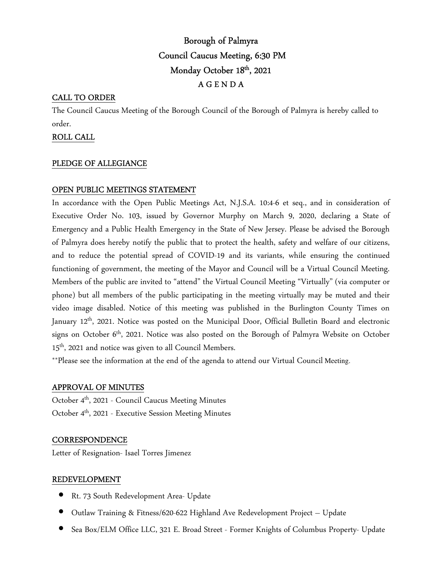# Borough of Palmyra Council Caucus Meeting, 6:30 PM Monday October 18<sup>th</sup>, 2021 A G E N D A

## CALL TO ORDER

The Council Caucus Meeting of the Borough Council of the Borough of Palmyra is hereby called to order.

## ROLL CALL

#### PLEDGE OF ALLEGIANCE

## OPEN PUBLIC MEETINGS STATEMENT

In accordance with the Open Public Meetings Act, N.J.S.A. 10:4-6 et seq., and in consideration of Executive Order No. 103, issued by Governor Murphy on March 9, 2020, declaring a State of Emergency and a Public Health Emergency in the State of New Jersey. Please be advised the Borough of Palmyra does hereby notify the public that to protect the health, safety and welfare of our citizens, and to reduce the potential spread of COVID-19 and its variants, while ensuring the continued functioning of government, the meeting of the Mayor and Council will be a Virtual Council Meeting. Members of the public are invited to "attend" the Virtual Council Meeting "Virtually" (via computer or phone) but all members of the public participating in the meeting virtually may be muted and their video image disabled. Notice of this meeting was published in the Burlington County Times on January 12<sup>th</sup>, 2021. Notice was posted on the Municipal Door, Official Bulletin Board and electronic signs on October 6<sup>th</sup>, 2021. Notice was also posted on the Borough of Palmyra Website on October 15th, 2021 and notice was given to all Council Members.

\*\*Please see the information at the end of the agenda to attend our Virtual Council Meeting.

#### APPROVAL OF MINUTES

October 4<sup>th</sup>, 2021 - Council Caucus Meeting Minutes October 4th, 2021 - Executive Session Meeting Minutes

## **CORRESPONDENCE**

Letter of Resignation- Isael Torres Jimenez

#### REDEVELOPMENT

- Rt. 73 South Redevelopment Area- Update
- Outlaw Training & Fitness/620-622 Highland Ave Redevelopment Project Update
- Sea Box/ELM Office LLC, 321 E. Broad Street Former Knights of Columbus Property- Update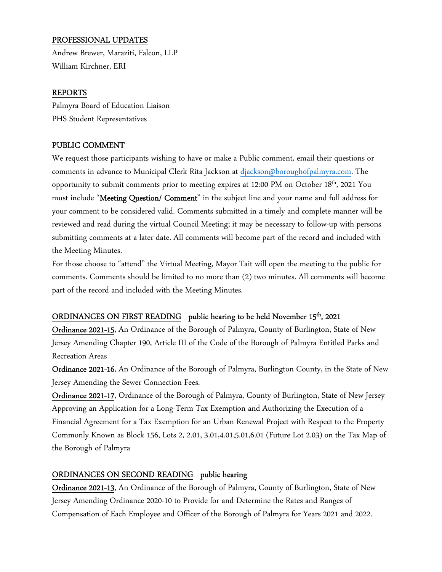## PROFESSIONAL UPDATES

Andrew Brewer, Maraziti, Falcon, LLP William Kirchner, ERI

## REPORTS

Palmyra Board of Education Liaison PHS Student Representatives

## PUBLIC COMMENT

We request those participants wishing to have or make a Public comment, email their questions or comments in advance to Municipal Clerk Rita Jackson at djackson@boroughofpalmyra.com. The opportunity to submit comments prior to meeting expires at 12:00 PM on October 18th, 2021 You must include "Meeting Question/ Comment" in the subject line and your name and full address for your comment to be considered valid. Comments submitted in a timely and complete manner will be reviewed and read during the virtual Council Meeting; it may be necessary to follow-up with persons submitting comments at a later date. All comments will become part of the record and included with the Meeting Minutes.

For those choose to "attend" the Virtual Meeting, Mayor Tait will open the meeting to the public for comments. Comments should be limited to no more than (2) two minutes. All comments will become part of the record and included with the Meeting Minutes.

## ORDINANCES ON FIRST READING public hearing to be held November 15<sup>th</sup>, 2021

Ordinance 2021-15, An Ordinance of the Borough of Palmyra, County of Burlington, State of New Jersey Amending Chapter 190, Article III of the Code of the Borough of Palmyra Entitled Parks and Recreation Areas

Ordinance 2021-16, An Ordinance of the Borough of Palmyra, Burlington County, in the State of New Jersey Amending the Sewer Connection Fees.

Ordinance 2021-17, Ordinance of the Borough of Palmyra, County of Burlington, State of New Jersey Approving an Application for a Long-Term Tax Exemption and Authorizing the Execution of a Financial Agreement for a Tax Exemption for an Urban Renewal Project with Respect to the Property Commonly Known as Block 156, Lots 2, 2.01, 3.01,4.01,5.01,6.01 (Future Lot 2.03) on the Tax Map of the Borough of Palmyra

## ORDINANCES ON SECOND READING public hearing

Ordinance 2021-13, An Ordinance of the Borough of Palmyra, County of Burlington, State of New Jersey Amending Ordinance 2020-10 to Provide for and Determine the Rates and Ranges of Compensation of Each Employee and Officer of the Borough of Palmyra for Years 2021 and 2022.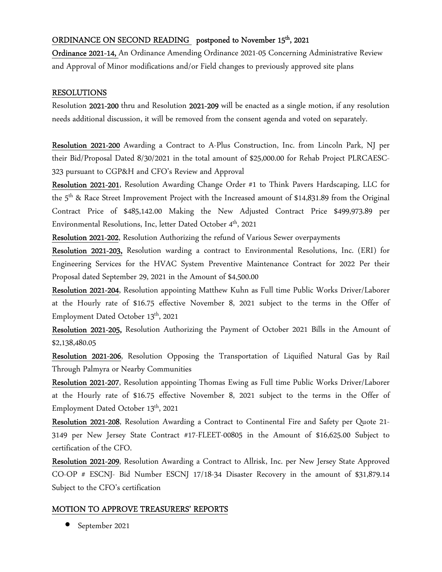## ORDINANCE ON SECOND READING postponed to November 15<sup>th</sup>, 2021

Ordinance 2021-14, An Ordinance Amending Ordinance 2021-05 Concerning Administrative Review and Approval of Minor modifications and/or Field changes to previously approved site plans

## RESOLUTIONS

Resolution 2021-200 thru and Resolution 2021-209 will be enacted as a single motion, if any resolution needs additional discussion, it will be removed from the consent agenda and voted on separately.

Resolution 2021-200 Awarding a Contract to A-Plus Construction, Inc. from Lincoln Park, NJ per their Bid/Proposal Dated 8/30/2021 in the total amount of \$25,000.00 for Rehab Project PLRCAESC-323 pursuant to CGP&H and CFO's Review and Approval

Resolution 2021-201, Resolution Awarding Change Order #1 to Think Pavers Hardscaping, LLC for the 5<sup>th</sup> & Race Street Improvement Project with the Increased amount of \$14,831.89 from the Original Contract Price of \$485,142.00 Making the New Adjusted Contract Price \$499,973.89 per Environmental Resolutions, Inc, letter Dated October 4<sup>th</sup>, 2021

Resolution 2021-202, Resolution Authorizing the refund of Various Sewer overpayments

Resolution 2021-203, Resolution warding a contract to Environmental Resolutions, Inc. (ERI) for Engineering Services for the HVAC System Preventive Maintenance Contract for 2022 Per their Proposal dated September 29, 2021 in the Amount of \$4,500.00

Resolution 2021-204, Resolution appointing Matthew Kuhn as Full time Public Works Driver/Laborer at the Hourly rate of \$16.75 effective November 8, 2021 subject to the terms in the Offer of Employment Dated October 13<sup>th</sup>, 2021

Resolution 2021-205, Resolution Authorizing the Payment of October 2021 Bills in the Amount of \$2,138,480.05

Resolution 2021-206, Resolution Opposing the Transportation of Liquified Natural Gas by Rail Through Palmyra or Nearby Communities

Resolution 2021-207, Resolution appointing Thomas Ewing as Full time Public Works Driver/Laborer at the Hourly rate of \$16.75 effective November 8, 2021 subject to the terms in the Offer of Employment Dated October 13th, 2021

Resolution 2021-208, Resolution Awarding a Contract to Continental Fire and Safety per Quote 21- 3149 per New Jersey State Contract #17-FLEET-00805 in the Amount of \$16,625.00 Subject to certification of the CFO.

Resolution 2021-209, Resolution Awarding a Contract to Allrisk, Inc. per New Jersey State Approved CO-OP # ESCNJ- Bid Number ESCNJ 17/18-34 Disaster Recovery in the amount of \$31,879.14 Subject to the CFO's certification

## MOTION TO APPROVE TREASURERS' REPORTS

• September 2021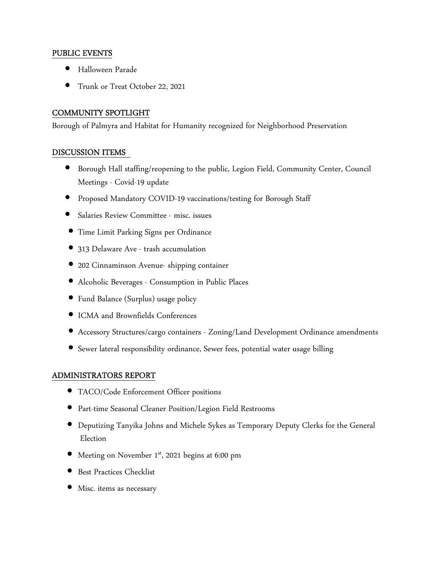## PUBLIC EVENTS

- Halloween Parade
- Trunk or Treat October 22, 2021

## COMMUNITY SPOTLIGHT

Borough of Palmyra and Habitat for Humanity recognized for Neighborhood Preservation

#### DISCUSSION ITEMS

- Borough Hall staffing/reopening to the public, Legion Field, Community Center, Council Meetings - Covid-19 update
- Proposed Mandatory COVID-19 vaccinations/testing for Borough Staff
- Salaries Review Committee misc. issues
- Time Limit Parking Signs per Ordinance
- 313 Delaware Ave trash accumulation
- 202 Cinnaminson Avenue- shipping container
- Alcoholic Beverages Consumption in Public Places
- Fund Balance (Surplus) usage policy
- ICMA and Brownfields Conferences
- Accessory Structures/cargo containers Zoning/Land Development Ordinance amendments
- Sewer lateral responsibility ordinance, Sewer fees, potential water usage billing

## ADMINISTRATORS REPORT

- TACO/Code Enforcement Officer positions
- Part-time Seasonal Cleaner Position/Legion Field Restrooms
- Deputizing Tanyika Johns and Michele Sykes as Temporary Deputy Clerks for the General Election
- Meeting on November 1<sup>st</sup>, 2021 begins at 6:00 pm
- Best Practices Checklist
- Misc. items as necessary